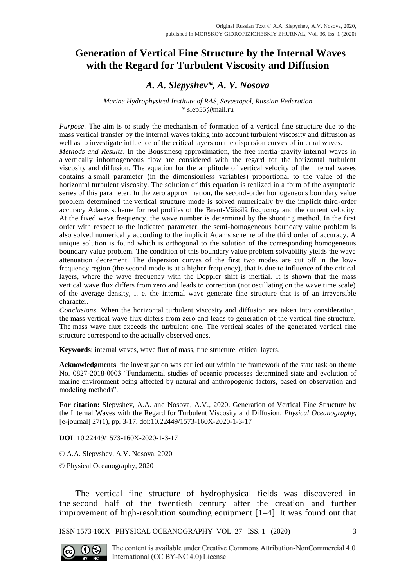# **Generation of Vertical Fine Structure by the Internal Waves with the Regard for Turbulent Viscosity and Diffusion**

## *A. A. Slepyshev\*, A. V. Nosova*

#### *Marine Hydrophysical Institute of RAS, Sevastopol, Russian Federation* \* slep55@mail.ru

*Purpose*. The aim is to study the mechanism of formation of a vertical fine structure due to the mass vertical transfer by the internal waves taking into account turbulent viscosity and diffusion as well as to investigate influence of the critical layers on the dispersion curves of internal waves. *Methods and Results*. In the Boussinesq approximation, the free inertia-gravity internal waves in a vertically inhomogeneous flow are considered with the regard for the horizontal turbulent viscosity and diffusion. The equation for the amplitude of vertical velocity of the internal waves contains a small parameter (in the dimensionless variables) proportional to the value of the horizontal turbulent viscosity. The solution of this equation is realized in a form of the asymptotic series of this parameter. In the zero approximation, the second-order homogeneous boundary value problem determined the vertical structure mode is solved numerically by the implicit third-order accuracy Adams scheme for real profiles of the Brent-Väisälä frequency and the current velocity. At the fixed wave frequency, the wave number is determined by the shooting method. In the first order with respect to the indicated parameter, the semi-homogeneous boundary value problem is also solved numerically according to the implicit Adams scheme of the third order of accuracy. A unique solution is found which is orthogonal to the solution of the corresponding homogeneous boundary value problem. The condition of this boundary value problem solvability yields the wave attenuation decrement. The dispersion curves of the first two modes are cut off in the lowfrequency region (the second mode is at a higher frequency), that is due to influence of the critical layers, where the wave frequency with the Doppler shift is inertial. It is shown that the mass vertical wave flux differs from zero and leads to correction (not oscillating on the wave time scale) of the average density, i. e. the internal wave generate fine structure that is of an irreversible character.

*Conclusions*. When the horizontal turbulent viscosity and diffusion are taken into consideration, the mass vertical wave flux differs from zero and leads to generation of the vertical fine structure. The mass wave flux exceeds the turbulent one. The vertical scales of the generated vertical fine structure correspond to the actually observed ones.

**Keywords**: internal waves, wave flux of mass, fine structure, critical layers.

**Acknowledgments**: the investigation was carried out within the framework of the state task on theme No. 0827-2018-0003 "Fundamental studies of oceanic processes determined state and evolution of marine environment being affected by natural and anthropogenic factors, based on observation and modeling methods".

**For citation:** Slepyshev, A.A. and Nosova, A.V., 2020. Generation of Vertical Fine Structure by the Internal Waves with the Regard for Turbulent Viscosity and Diffusion. *Physical Oceanography*, [e-journal] 27(1), pp. 3-17. doi:10.22449/1573-160X-2020-1-3-17

**DOI**: 10.22449/1573-160X-2020-1-3-17

© A.A. Slepyshev, A.V. Nosova, 2020

© Physical Oceanography, 2020

The vertical fine structure of hydrophysical fields was discovered in the second half of the twentieth century after the creation and further improvement of high-resolution sounding equipment [1–4]. It was found out that

ISSN 1573-160X PHYSICAL OCEANOGRAPHY VOL. 27 ISS. 1 (2020) 3

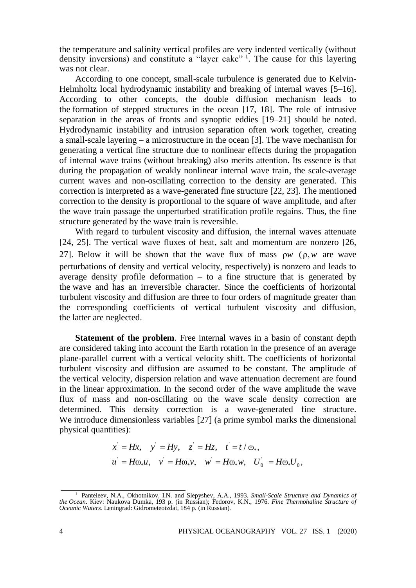the temperature and salinity vertical profiles are very indented vertically (without density inversions) and constitute a "layer cake" <sup>1</sup>. The cause for this layering was not clear.

According to one concept, small-scale turbulence is generated due to Kelvin-Helmholtz local hydrodynamic instability and breaking of internal waves [5–16]. According to other concepts, the double diffusion mechanism leads to the formation of stepped structures in the ocean [17, 18]. The role of intrusive separation in the areas of fronts and synoptic eddies [19–21] should be noted. Hydrodynamic instability and intrusion separation often work together, creating a small-scale layering – a microstructure in the ocean [3]. The wave mechanism for generating a vertical fine structure due to nonlinear effects during the propagation of internal wave trains (without breaking) also merits attention. Its essence is that during the propagation of weakly nonlinear internal wave train, the scale-average current waves and non-oscillating correction to the density are generated. This correction is interpreted as a wave-generated fine structure [22, 23]. The mentioned correction to the density is proportional to the square of wave amplitude, and after the wave train passage the unperturbed stratification profile regains. Thus, the fine structure generated by the wave train is reversible.

With regard to turbulent viscosity and diffusion, the internal waves attenuate [24, 25]. The vertical wave fluxes of heat, salt and momentum are nonzero [26, 27]. Below it will be shown that the wave flux of mass  $\rho w$  ( $\rho, w$  are wave perturbations of density and vertical velocity, respectively) is nonzero and leads to average density profile deformation – to a fine structure that is generated by the wave and has an irreversible character. Since the coefficients of horizontal turbulent viscosity and diffusion are three to four orders of magnitude greater than the corresponding coefficients of vertical turbulent viscosity and diffusion, the latter are neglected.

**Statement of the problem**. Free internal waves in a basin of constant depth are considered taking into account the Earth rotation in the presence of an average plane-parallel current with a vertical velocity shift. The coefficients of horizontal turbulent viscosity and diffusion are assumed to be constant. The amplitude of the vertical velocity, dispersion relation and wave attenuation decrement are found in the linear approximation. In the second order of the wave amplitude the wave flux of mass and non-oscillating on the wave scale density correction are determined. This density correction is a wave-generated fine structure. We introduce dimensionless variables [27] (a prime symbol marks the dimensional physical quantities):

$$
\begin{aligned}\n\text{ities):} \\
x' &= Hx, \quad y' = Hy, \quad z' = Hz, \quad t' = t/\omega_*, \\
u' &= H\omega_* u, \quad v' = H\omega_* v, \quad w' = H\omega_* w, \quad U_0' = H\omega_* U_0,\n\end{aligned}
$$

<sup>1</sup> Panteleev, N.A., Okhotnikov, I.N. and Slepyshev, A.A., 1993. *Small-Scale Structure and Dynamics of the Ocean*. Kiev: Naukova Dumka, 193 p. (in Russian); Fedorov, K.N., 1976. *Fine Thermohaline Structure of Oceanic Waters.* Leningrad: Gidrometeoizdat, 184 p. (in Russian).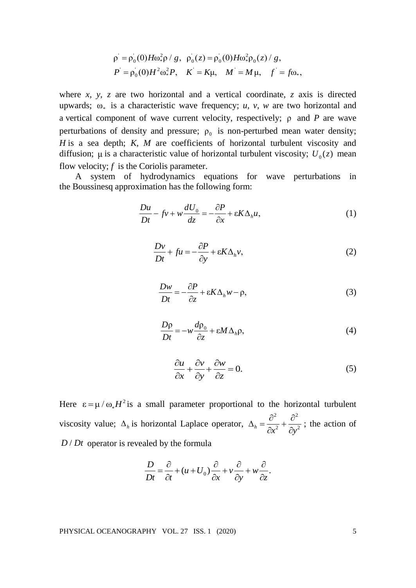$$
\rho = \rho_0(0) H \omega_*^2 \rho / g, \ \rho_0(z) = \rho_0(0) H \omega_*^2 \rho_0(z) / g,
$$
  

$$
P = \rho_0(0) H^2 \omega_*^2 P, \quad K = K \mu, \quad M = M \mu, \quad f = f \omega_*,
$$

where  $x$ ,  $y$ ,  $z$  are two horizontal and a vertical coordinate,  $z$  axis is directed upwards;  $\omega_*$  is a characteristic wave frequency; *u*, *v*, *w* are two horizontal and a vertical component of wave current velocity, respectively; ρ and *P* are wave perturbations of density and pressure;  $\rho_0$  is non-perturbed mean water density; *H* is a sea depth; *K, M* are coefficients of horizontal turbulent viscosity and diffusion;  $\mu$  is a characteristic value of horizontal turbulent viscosity;  $U_0(z)$  mean flow velocity; *f* is the Coriolis parameter.

A system of hydrodynamics equations for wave perturbations in the Boussinesq approximation has the following form:

$$
\frac{Du}{Dt} - fv + w\frac{dU_0}{dz} = -\frac{\partial P}{\partial x} + \varepsilon K \Delta_h u,\tag{1}
$$

$$
\frac{Dv}{Dt} + fu = -\frac{\partial P}{\partial y} + \varepsilon K \Delta_h v,
$$
\n(2)

$$
\frac{Dw}{Dt} = -\frac{\partial P}{\partial z} + \varepsilon K \Delta_h w - \rho,
$$
\n(3)

$$
\frac{D\rho}{Dt} = -w\frac{d\rho_0}{\partial z} + \varepsilon M \Delta_h \rho, \tag{4}
$$

$$
\frac{\partial u}{\partial x} + \frac{\partial v}{\partial y} + \frac{\partial w}{\partial z} = 0.
$$
 (5)

Here  $\epsilon = \mu / \omega_* H^2$  is a small parameter proportional to the horizontal turbulent viscosity value;  $\Delta_h$  is horizontal Laplace operator, 2  $a^2$  $h = \partial x^2 + \partial y^2$  $\Delta_{h} = \frac{\partial^{2}}{\partial \theta^{2}} + \frac{\partial^{2}}{\partial \theta^{2}}$  $\partial x^2$   $\partial y$ ; the action of  $D/Dt$  operator is revealed by the formula

$$
\frac{D}{Dt} = \frac{\partial}{\partial t} + (u + U_0) \frac{\partial}{\partial x} + v \frac{\partial}{\partial y} + w \frac{\partial}{\partial z}.
$$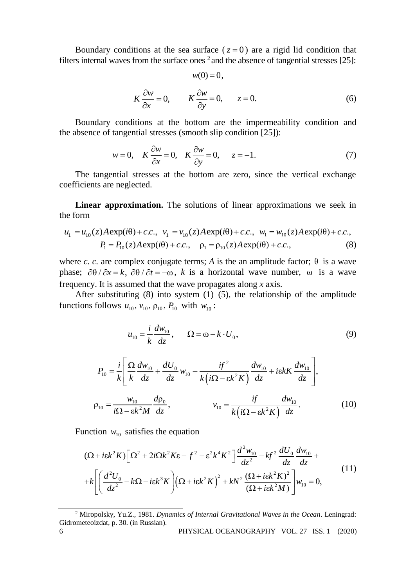Boundary conditions at the sea surface  $(z=0)$  are a rigid lid condition that filters internal waves from the surface ones  $2$  and the absence of tangential stresses [25]:

 $w(0) = 0$ ,

$$
K\frac{\partial w}{\partial x} = 0, \qquad K\frac{\partial w}{\partial y} = 0, \qquad z = 0.
$$
 (6)

Boundary conditions at the bottom are the impermeability condition and the absence of tangential stresses (smooth slip condition [25]):

$$
w = 0, \quad K \frac{\partial w}{\partial x} = 0, \quad K \frac{\partial w}{\partial y} = 0, \quad z = -1.
$$
 (7)

The tangential stresses at the bottom are zero, since the vertical exchange coefficients are neglected.

**Linear approximation.** The solutions of linear approximations we seek in the form

$$
u_1 = u_{10}(z)A \exp(i\theta) + c.c., \quad v_1 = v_{10}(z)A \exp(i\theta) + c.c., \quad w_1 = w_{10}(z)A \exp(i\theta) + c.c.,
$$
  

$$
P_1 = P_{10}(z)A \exp(i\theta) + c.c., \quad \rho_1 = \rho_{10}(z)A \exp(i\theta) + c.c.,
$$
 (8)

where *c. c.* are complex conjugate terms; *A* is the an amplitude factor;  $\theta$  is a wave phase;  $\partial \theta / \partial x = k$ ,  $\partial \theta / \partial t = -\omega$ , k is a horizontal wave number,  $\omega$  is a wave frequency. It is assumed that the wave propagates along *x* axis.

After substituting  $(8)$  into system  $(1)$ – $(5)$ , the relationship of the amplitude functions follows  $u_{10}$ ,  $v_{10}$ ,  $\rho_{10}$ ,  $P_{10}$  with  $w_{10}$ :

$$
u_{10} = \frac{i}{k} \frac{dw_{10}}{dz}, \qquad \Omega = \omega - k \cdot U_0,
$$
\n(9)

$$
P_{10} = \frac{i}{k} \left[ \frac{\Omega}{k} \frac{dw_{10}}{dz} + \frac{dU_0}{dz} w_{10} - \frac{if^2}{k(i\Omega - \varepsilon k^2 K)} \frac{dw_{10}}{dz} + i\varepsilon k + \frac{dw_{10}}{dz} \right],
$$
  

$$
\rho_{10} = \frac{w_{10}}{i\Omega - \varepsilon k^2 M} \frac{d\rho_0}{dz}, \qquad \qquad v_{10} = \frac{if}{k(i\Omega - \varepsilon k^2 K)} \frac{dw_{10}}{dz}.
$$
 (10)

Function 
$$
w_{10}
$$
 satisfies the equation  
\n
$$
(\Omega + i\epsilon k^2 K) \Big[ \Omega^2 + 2i\Omega k^2 K \epsilon - f^2 - \epsilon^2 k^4 K^2 \Big] \frac{d^2 w_{10}}{dz^2} - k f^2 \frac{dU_0}{dz} \frac{dw_{10}}{dz} +
$$
\n
$$
+ k \Bigg[ \Big( \frac{d^2 U_0}{dz^2} - k\Omega - i\epsilon k^3 K \Big) \Big( \Omega + i\epsilon k^2 K \Big)^2 + kN^2 \frac{(\Omega + i\epsilon k^2 K)^2}{(\Omega + i\epsilon k^2 M)} \Big] w_{10} = 0,
$$
\n(11)

<sup>6</sup> PHYSICAL OCEANOGRAPHY VOL. 27 ISS. 1 (2020) <sup>2</sup> Miropolsky, Yu.Z., 1981. *Dynamics of Internal Gravitational Waves in the Ocean*. Leningrad: Gidrometeoizdat, p. 30. (in Russian).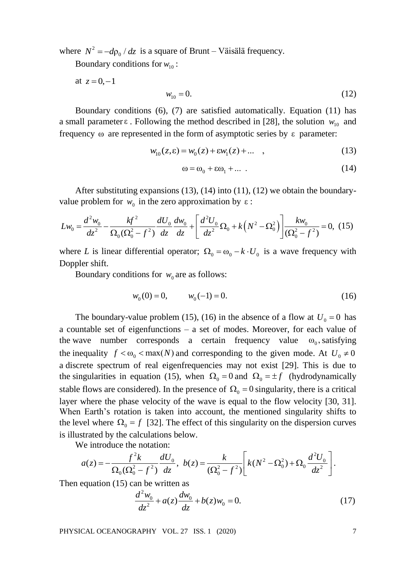where  $N^2 = -d\rho_0 / dz$  is a square of Brunt – Väisälä frequency.

Boundary conditions for  $w_{10}$ :

at  $z = 0, -1$ 

$$
w_{10} = 0.\tag{12}
$$

Boundary conditions (6), (7) are satisfied automatically. Equation (11) has a small parameter  $\varepsilon$ . Following the method described in [28], the solution  $w_{10}$  and frequency ω are represented in the form of asymptotic series by ε parameter:

$$
w_{10}(z, \varepsilon) = w_0(z) + \varepsilon w_1(z) + \dots \quad , \tag{13}
$$

$$
\omega = \omega_0 + \epsilon \omega_1 + \dots \tag{14}
$$

After substituting expansions (13), (14) into (11), (12) we obtain the boundary-<br>
e problem for  $w_0$  in the zero approximation by  $\varepsilon$ :<br>  $= \frac{d^2 w_0}{dt^2} - \frac{k f^2}{\sqrt{2(1-\lambda^2)}} \frac{dU_0}{dt^2} \frac{dw_0}{dt^2} + \left[ \frac{d^2 U_0}{dt^2} \Omega_0 +$ 

After substituting expansions (13), (14) into (11), (12) we obtain the boundary-  
value problem for 
$$
w_0
$$
 in the zero approximation by  $\varepsilon$ :  

$$
Lw_0 = \frac{d^2w_0}{dz^2} - \frac{k f^2}{\Omega_0(\Omega_0^2 - f^2)} \frac{dU_0}{dz} \frac{dw_0}{dz} + \left[ \frac{d^2 U_0}{dz^2} \Omega_0 + k\left(N^2 - \Omega_0^2\right) \right] \frac{dw_0}{(\Omega_0^2 - f^2)} = 0, (15)
$$

where *L* is linear differential operator;  $\Omega_0 = \omega_0 - k \cdot U_0$  is a wave frequency with Doppler shift.

Boundary conditions for  $w_0$  are as follows:

$$
w_0(0) = 0, \qquad w_0(-1) = 0. \tag{16}
$$

The boundary-value problem (15), (16) in the absence of a flow at  $U_0 = 0$  has a countable set of eigenfunctions – a set of modes. Moreover, for each value of the wave number corresponds a certain frequency value  $\omega_0$ , satisfying the inequality  $f < \omega_0 < \max(N)$  and corresponding to the given mode. At  $U_0 \neq 0$ a discrete spectrum of real eigenfrequencies may not exist [29]. This is due to the singularities in equation (15), when  $\Omega_0 = 0$  and  $\Omega_0 = \pm f$  (hydrodynamically stable flows are considered). In the presence of  $\Omega_0 = 0$  singularity, there is a critical layer where the phase velocity of the wave is equal to the flow velocity [30, 31]. When Earth's rotation is taken into account, the mentioned singularity shifts to the level where  $\Omega_0 = f$  [32]. The effect of this singularity on the dispersion curves is illustrated by the calculations below.

We introduce the notation:

We introduce the notation:  
\n
$$
a(z) = -\frac{f^2 k}{\Omega_0 (\Omega_0^2 - f^2)} \frac{dU_0}{dz}, \quad b(z) = \frac{k}{(\Omega_0^2 - f^2)} \left[ k(N^2 - \Omega_0^2) + \Omega_0 \frac{d^2 U_0}{dz^2} \right].
$$

Then equation (15) can be written as

$$
\frac{d^2 w_0}{dz^2} + a(z) \frac{dw_0}{dz} + b(z)w_0 = 0.
$$
 (17)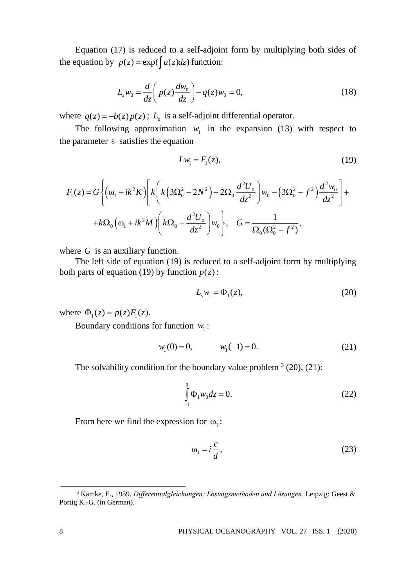Equation (17) is reduced to a self-adjoint form by multiplying both sides of the equation by  $p(z) = \exp(\int a(z) dz)$  function:

$$
L_s w_0 = \frac{d}{dz} \left( p(z) \frac{dw_0}{dz} \right) - q(z) w_0 = 0,
$$
 (18)

where  $q(z) = -b(z)p(z)$ ;  $L<sub>s</sub>$  is a self-adjoint differential operator.

The following approximation  $w_1$  in the expansion (13) with respect to the parameter  $\varepsilon$  satisfies the equation

$$
Lw_1 = F_1(z),\tag{19}
$$

$$
Lw_1 = F_1(z),
$$
\n(19)  
\n
$$
F_1(z) = G \left\{ \left( \omega_1 + ik^2 K \right) \left[ k \left( k \left( 3\Omega_0^2 - 2N^2 \right) - 2\Omega_0 \frac{d^2 U_0}{dz^2} \right) w_0 - \left( 3\Omega_0^2 - f^2 \right) \frac{d^2 w_0}{dz^2} \right] + \right.
$$
\n
$$
+ k\Omega_0 \left( \omega_1 + ik^2 M \right) \left( k\Omega_0 - \frac{d^2 U_0}{dz^2} \right) w_0 \right\}, \quad G = \frac{1}{\Omega_0(\Omega_0^2 - f^2)},
$$
\n(19)

where  $G$  is an auxiliary function.

The left side of equation (19) is reduced to a self-adjoint form by multiplying both parts of equation (19) by function  $p(z)$ :

$$
L_s w_1 = \Phi_1(z), \tag{20}
$$

where  $\Phi_1(z) = p(z) F_1(z)$ .

Boundary conditions for function  $w_1$ :

$$
w_1(0) = 0, \qquad w_1(-1) = 0. \tag{21}
$$

The solvability condition for the boundary value problem  $(3(20), (21)$ :

$$
\int_{-1}^{0} \Phi_1 w_0 dz = 0.
$$
 (22)

From here we find the expression for  $\omega_1$ :

$$
\omega_1 = i \frac{c}{d},\tag{23}
$$

<sup>3</sup> Kamke, E., 1959. *Differentialgleichungen: Lösungsmethoden und Lösungen*. Leipzig: Geest & Portig K.-G. (in German).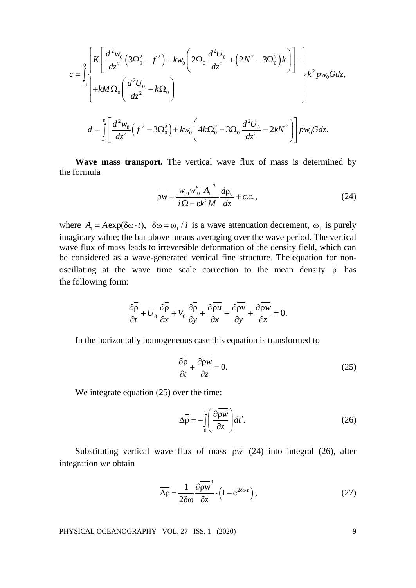$$
c = \int_{-1}^{0} \left\{ \frac{K \left[ \frac{d^2 w_0}{dz^2} \left( 3\Omega_0^2 - f^2 \right) + k w_0 \left( 2\Omega_0 \frac{d^2 U_0}{dz^2} + \left( 2N^2 - 3\Omega_0^2 \right) k \right) \right] + \left\{ k^2 p w_0 G dz, \right. \\ + k M \Omega_0 \left( \frac{d^2 U_0}{dz^2} - k \Omega_0 \right) \right\} \\ d = \int_{-1}^{0} \left[ \frac{d^2 w_0}{dz^2} \left( f^2 - 3\Omega_0^2 \right) + k w_0 \left( 4k \Omega_0^2 - 3\Omega_0 \frac{d^2 U_0}{dz^2} - 2k N^2 \right) \right] p w_0 G dz.
$$

**Wave mass transport.** The vertical wave flux of mass is determined by the formula

$$
\overline{\rho w} = \frac{w_{10} w_{10}^* |A_1|^2}{i \Omega - \varepsilon k^2 M} \frac{d\rho_0}{dz} + c.c.,
$$
 (24)

where  $A_1 = A \exp(\delta \omega \cdot t)$ ,  $\delta \omega = \omega_1 / i$  is a wave attenuation decrement,  $\omega_1$  is purely imaginary value; the bar above means averaging over the wave period. The vertical wave flux of mass leads to irreversible deformation of the density field, which can be considered as a wave-generated vertical fine structure. The equation for nonoscillating at the wave time scale correction to the mean density ρ has the following form:

$$
\frac{\partial \overline{\rho}}{\partial t} + U_0 \frac{\partial \overline{\rho}}{\partial x} + V_0 \frac{\partial \overline{\rho}}{\partial y} + \frac{\partial \overline{\rho} u}{\partial x} + \frac{\partial \overline{\rho} v}{\partial y} + \frac{\partial \overline{\rho} w}{\partial z} = 0.
$$

In the horizontally homogeneous case this equation is transformed to

$$
\frac{\partial \overline{\rho}}{\partial t} + \frac{\partial \overline{\rho w}}{\partial z} = 0.
$$
 (25)

We integrate equation  $(25)$  over the time:

$$
\Delta \bar{\rho} = -\int_{0}^{t} \left( \frac{\partial \bar{\rho w}}{\partial z} \right) dt'.
$$
 (26)

Substituting vertical wave flux of mass ρ*w* (24) into integral (26), after integration we obtain

$$
\overline{\Delta \rho} = \frac{1}{2\delta \omega} \frac{\partial \overline{\rho w}}{\partial z} \cdot \left(1 - e^{2\delta \omega t}\right),\tag{27}
$$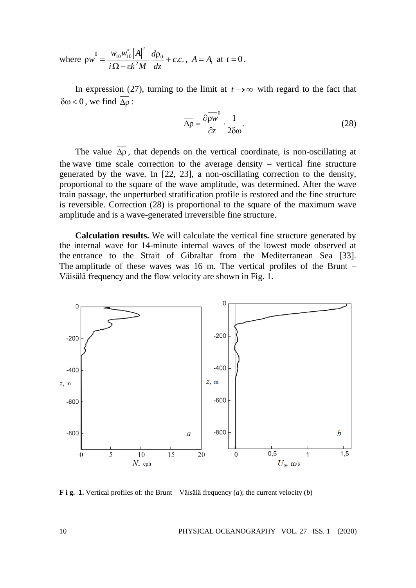where 
$$
\overline{\rho w}^0 = \frac{w_{10} w_{10}^* |A|^2}{i \Omega - \varepsilon k^2 M} \frac{d\rho_0}{dz} + c.c.
$$
,  $A = A_1$  at  $t = 0$ .

In expression (27), turning to the limit at  $t \rightarrow \infty$  with regard to the fact that  $δω < 0$ , we find  $Δρ$ :

$$
\overline{\Delta \rho} = \frac{\partial \overline{\rho w}^0}{\partial z} \cdot \frac{1}{2\delta \omega}.
$$
 (28)

The value  $\Delta \rho$ , that depends on the vertical coordinate, is non-oscillating at the wave time scale correction to the average density – vertical fine structure generated by the wave. In [22, 23], a non-oscillating correction to the density, proportional to the square of the wave amplitude, was determined. After the wave train passage, the unperturbed stratification profile is restored and the fine structure is reversible. Correction (28) is proportional to the square of the maximum wave amplitude and is a wave-generated irreversible fine structure.

**Calculation results.** We will calculate the vertical fine structure generated by the internal wave for 14-minute internal waves of the lowest mode observed at the entrance to the Strait of Gibraltar from the Mediterranean Sea [33]. The amplitude of these waves was 16 m. The vertical profiles of the Brunt – Väisälä frequency and the flow velocity are shown in Fig. 1.



**F i g. 1.** Vertical profiles of: the Brunt – Väisälä frequency (*a*); the current velocity (*b*)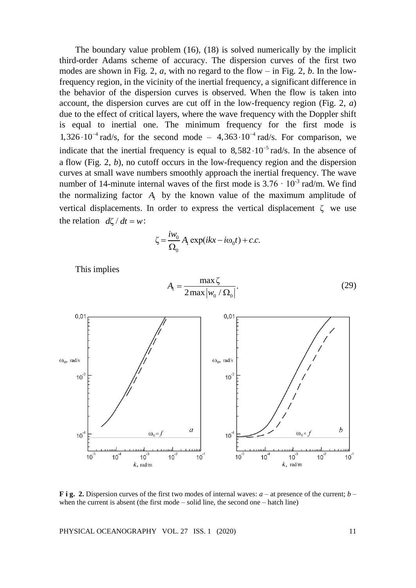The boundary value problem (16), (18) is solved numerically by the implicit third-order Adams scheme of accuracy. The dispersion curves of the first two modes are shown in Fig. 2,  $a$ , with no regard to the flow – in Fig. 2,  $b$ . In the lowfrequency region, in the vicinity of the inertial frequency, a significant difference in the behavior of the dispersion curves is observed. When the flow is taken into account, the dispersion curves are cut off in the low-frequency region (Fig. 2, *a*) due to the effect of critical layers, where the wave frequency with the Doppler shift is equal to inertial one. The minimum frequency for the first mode is  $1,326 \cdot 10^{-4}$  rad/s, for the second mode –  $4,363 \cdot 10^{-4}$  rad/s. For comparison, we indicate that the inertial frequency is equal to  $8,582 \cdot 10^{-5}$  rad/s. In the absence of a flow (Fig. 2, *b*), no cutoff occurs in the low-frequency region and the dispersion curves at small wave numbers smoothly approach the inertial frequency. The wave number of 14-minute internal waves of the first mode is  $3.76 \cdot 10^{-3}$  rad/m. We find the normalizing factor  $A_1$  by the known value of the maximum amplitude of vertical displacements. In order to express the vertical displacement ζ we use the relation  $d\zeta/dt = w$ :

$$
\zeta = \frac{i w_0}{\Omega_0} A_1 \exp(ikx - i\omega_0 t) + c.c.
$$

max ζ

This implies

$$
A_{\rm I} = \frac{\max_{\mathbf{Q}} \mathbf{Q}_{\rm II}}{\sum_{\mathbf{Q}} \max |w_0 / \Omega_0|}.\tag{29}
$$



**F i g. 2.** Dispersion curves of the first two modes of internal waves: *a* – at presence of the current; *b* – when the current is absent (the first mode – solid line, the second one – hatch line)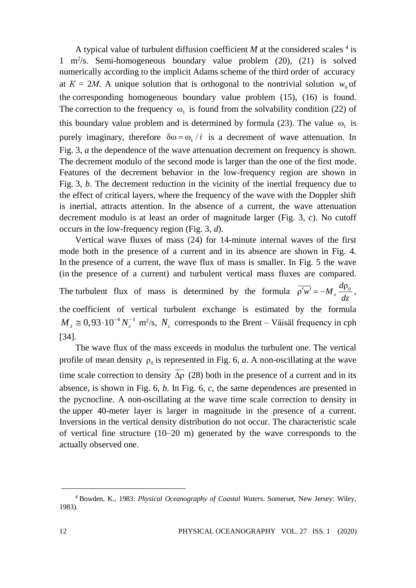A typical value of turbulent diffusion coefficient  $M$  at the considered scales  $4$  is 1 m<sup>2</sup> /s. Semi-homogeneous boundary value problem (20), (21) is solved numerically according to the implicit Adams scheme of the third order of accuracy at  $K = 2M$ . A unique solution that is orthogonal to the nontrivial solution  $w_0$  of the corresponding homogeneous boundary value problem (15), (16) is found. The correction to the frequency  $\omega_1$  is found from the solvability condition (22) of this boundary value problem and is determined by formula (23). The value  $\omega_1$  is purely imaginary, therefore  $\delta \omega = \omega_1 / i$  is a decrement of wave attenuation. In Fig. 3, *a* the dependence of the wave attenuation decrement on frequency is shown. The decrement modulo of the second mode is larger than the one of the first mode. Features of the decrement behavior in the low-frequency region are shown in Fig. 3, *b*. The decrement reduction in the vicinity of the inertial frequency due to the effect of critical layers, where the frequency of the wave with the Doppler shift is inertial, attracts attention. In the absence of a current, the wave attenuation decrement modulo is at least an order of magnitude larger (Fig. 3, *c*). No cutoff occurs in the low-frequency region (Fig. 3, *d*).

Vertical wave fluxes of mass (24) for 14-minute internal waves of the first mode both in the presence of a current and in its absence are shown in Fig. 4. In the presence of a current, the wave flux of mass is smaller. In Fig. 5 the wave (in the presence of a current) and turbulent vertical mass fluxes are compared. The turbulent flux of mass is determined by the formula  $\overline{\rho'w'} = -M_z \frac{d\rho_0}{dt}$ *dz*  $'w' = -M_z \frac{\mu p_0}{I}$ , the coefficient of vertical turbulent exchange is estimated by the formula  $M_z \approx 0.93 \cdot 10^{-4} N_c^{-1}$  m<sup>2</sup>/s,  $N_c$  corresponds to the Brent – Väisäl frequency in cph [34].

The wave flux of the mass exceeds in modulus the turbulent one. The vertical profile of mean density  $\rho_0$  is represented in Fig. 6, *a*. A non-oscillating at the wave time scale correction to density  $\Delta \rho$  (28) both in the presence of a current and in its absence, is shown in Fig. 6, *b*. In Fig. 6, *c*, the same dependences are presented in the pycnocline. A non-oscillating at the wave time scale correction to density in the upper 40-meter layer is larger in magnitude in the presence of a current. Inversions in the vertical density distribution do not occur. The characteristic scale of vertical fine structure (10–20 m) generated by the wave corresponds to the actually observed one.

<sup>4</sup> Bowden, K., 1983. *Physical Oceanography of Coastal Waters*. Somerset, New Jersey: Wiley, 1983).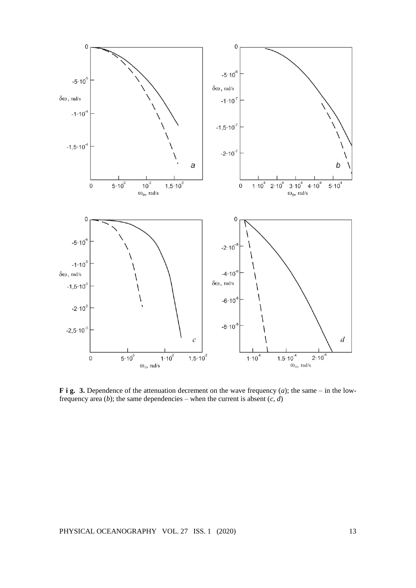

**F i g. 3.** Dependence of the attenuation decrement on the wave frequency  $(a)$ ; the same – in the lowfrequency area (*b*); the same dependencies – when the current is absent  $(c, d)$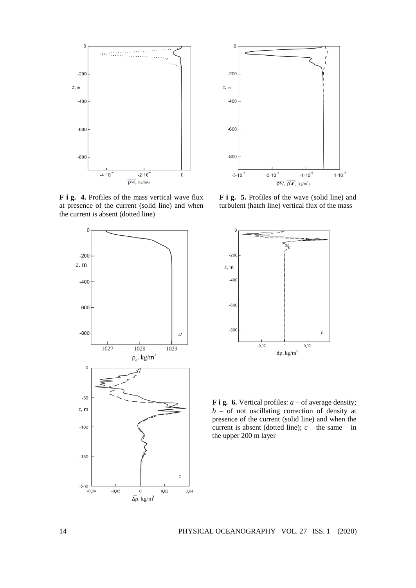

**F i g. 4.** Profiles of the mass vertical wave flux at presence of the current (solid line) and when the current is absent (dotted line)





**F i g. 5.** Profiles of the wave (solid line) and turbulent (hatch line) vertical flux of the mass



**F** i **g.** 6. Vertical profiles: *a* – of average density;  $b - of$  not oscillating correction of density at presence of the current (solid line) and when the current is absent (dotted line);  $c$  – the same – in the upper 200 m layer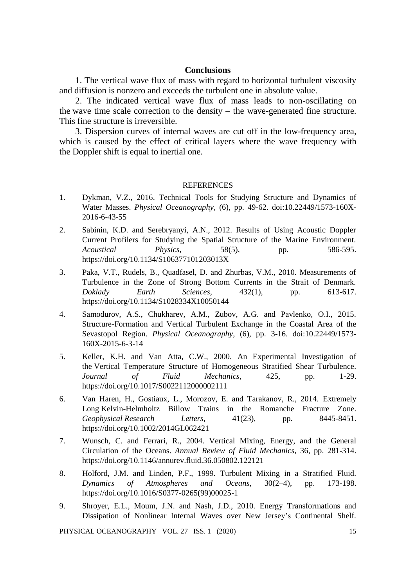## **Conclusions**

1. The vertical wave flux of mass with regard to horizontal turbulent viscosity and diffusion is nonzero and exceeds the turbulent one in absolute value.

2. The indicated vertical wave flux of mass leads to non-oscillating on the wave time scale correction to the density – the wave-generated fine structure. This fine structure is irreversible.

3. Dispersion curves of internal waves are cut off in the low-frequency area, which is caused by the effect of critical layers where the wave frequency with the Doppler shift is equal to inertial one.

## **REFERENCES**

- 1. Dykman, V.Z., 2016. Technical Tools for Studying Structure and Dynamics of Water Masses. *Physical Oceanography*, (6), pp. 49-62. doi:10.22449/1573-160X-2016-6-43-55
- 2. Sabinin, K.D. and Serebryanyi, A.N., 2012. Results of Using Acoustic Doppler Current Profilers for Studying the Spatial Structure of the Marine Environment. *Acoustical Physics*, 58(5), pp. 586-595. https://doi.org/10.1134/S106377101203013X
- 3. Paka, V.T., Rudels, B., Quadfasel, D. and Zhurbas, V.M., 2010. Measurements of Turbulence in the Zone of Strong Bottom Currents in the Strait of Denmark. *Doklady Earth Sciences*, 432(1), pp. 613-617. https://doi.org/10.1134/S1028334X10050144
- 4. Samodurov, A.S., Chukharev, A.M., Zubov, A.G. and Pavlenko, O.I., 2015. Structure-Formation and Vertical Turbulent Exchange in the Coastal Area of the Sevastopol Region. *Physical Oceanography*, (6), pp. 3-16. doi:10.22449/1573- 160X-2015-6-3-14
- 5. Keller, K.H. and Van Atta, C.W., 2000. An Experimental Investigation of the Vertical Temperature Structure of Homogeneous Stratified Shear Turbulence. *Journal of Fluid Mechanics*, 425, pp. 1-29. https://doi.org/10.1017/S0022112000002111
- 6. Van Haren, H., Gostiaux, L., Morozov, E. and Tarakanov, R., 2014. Extremely Long Kelvin-Helmholtz Billow Trains in the Romanche Fracture Zone. *Geophysical Research Letters*, 41(23), pp. 8445-8451. https://doi.org/10.1002/2014GL062421
- 7. Wunsch, C. and Ferrari, R., 2004. Vertical Mixing, Energy, and the General Circulation of the Oceans. *Annual Review of Fluid Mechanics*, 36, pp. 281-314. https://doi.org/10.1146/annurev.fluid.36.050802.122121
- 8. Holford, J.M. and Linden, P.F., 1999. Turbulent Mixing in a Stratified Fluid. *Dynamics of Atmospheres and Oceans*, 30(2–4), pp. 173-198. https://doi.org/10.1016/S0377-0265(99)00025-1
- 9. Shroyer, E.L., Moum, J.N. and Nash, J.D., 2010. Energy Transformations and Dissipation of Nonlinear Internal Waves over New Jersey's Continental Shelf.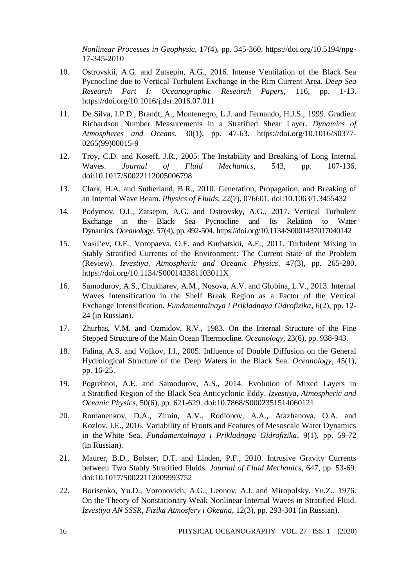*Nonlinear Processes in Geophysic*, 17(4), pp. 345-360. https://doi.org/10.5194/npg-17-345-2010

- 10. Ostrovskii, A.G. and Zatsepin, A.G., 2016. Intense Ventilation of the Black Sea Pycnocline due to Vertical Turbulent Exchange in the Rim Current Area. *Deep Sea Research Part I: Oceanographic Research Papers*, 116, pp. 1-13. https://doi.org/10.1016/j.dsr.2016.07.011
- 11. De Silva, I.P.D., Brandt, A., Montenegro, L.J. and Fernando, H.J.S., 1999. Gradient Richardson Number Measurements in a Stratified Shear Layer. *Dynamics of Atmospheres and Oceans*, 30(1), pp. 47-63. https://doi.org/10.1016/S0377- 0265(99)00015-9
- 12. Troy, C.D. and Koseff, J.R., 2005. The Instability and Breaking of Long Internal Waves. *Journal of Fluid Mechanics*, 543, pp. 107-136. doi:10.1017/S0022112005006798
- 13. Clark, H.A. and Sutherland, B.R., 2010. Generation, Propagation, and Breaking of an Internal Wave Beam. *Physics of Fluids*, 22(7), 076601. doi:10.1063/1.3455432
- 14. Podymov, O.I., Zatsepin, A.G. and Ostrovsky, A.G., 2017. Vertical Turbulent Exchange in the Black Sea Pycnocline and Its Relation to Water Dynamics. *Oceanology*, 57(4), pp. 492-504. https://doi.org/10.1134/S0001437017040142
- 15. Vasil'ev, O.F., Voropaeva, O.F. and Kurbatskii, A.F., 2011. Turbulent Mixing in Stably Stratified Currents of the Environment: The Current State of the Problem (Review). *Izvestiya, Atmospheric and Oceanic Physics*, 47(3), pp. 265-280. https://doi.org/10.1134/S000143381103011X
- 16. Samodurov, A.S., Chukharev, A.M., Nosova, A.V. and Globina, L.V., 2013. Internal Waves Intensification in the Shelf Break Region as a Factor of the Vertical Exchange Intensification. *Fundamentalnaya i Prikladnaya Gidrofizika*, 6(2), pp. 12- 24 (in Russian).
- 17. Zhurbas, V.M. and Ozmidov, R.V., 1983. On the Internal Structure of the Fine Stepped Structure of the Main Ocean Thermocline. *Oceanology*, 23(6), pp. 938-943.
- 18. Falina, A.S. and Volkov, I.I., 2005. Influence of Double Diffusion on the General Hydrological Structure of the Deep Waters in the Black Sea. *Oceanology*, 45(1), pp. 16-25.
- 19. Pogrebnoi, A.E. and Samodurov, A.S., 2014. Evolution of Mixed Layers in a Stratified Region of the Black Sea Anticyclonic Eddy. *Izvestiya, Atmospheric and Oceanic Physics*, 50(6), pp. 621-629. doi:10.7868/S0002351514060121
- 20. Romanenkov, D.A., Zimin, A.V., Rodionov, A.A., Atazhanova, O.A. and Kozlov, I.E., 2016. Variability of Fronts and Features of Mesoscale Water Dynamics in the White Sea. *Fundamentalnaya i Prikladnaya Gidrofizika*, 9(1), pp. 59-72 (in Russian).
- 21. Maurer, B.D., Bolster, D.T. and Linden, P.F., 2010. Intrusive Gravity Currents between Two Stably Stratified Fluids. *Journal of Fluid Mechanics*, 647, pp. 53-69. doi:10.1017/S0022112009993752
- 22. Borisenko, Yu.D., Voronovich, A.G., Leonov, A.I. and Miropolsky, Yu.Z., 1976. On the Theory of Nonstationary Weak Nonlinear Internal Waves in Stratified Fluid. *Izvestiya AN SSSR, Fizika Atmosfery i Okeana*, 12(3), pp. 293-301 (in Russian).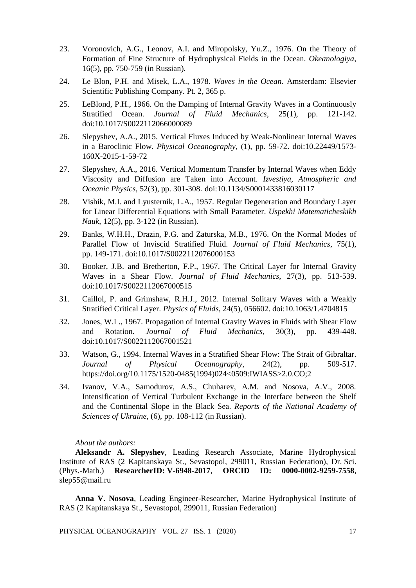- 23. Voronovich, A.G., Leonov, A.I. and Miropolsky, Yu.Z., 1976. On the Theory of Formation of Fine Structure of Hydrophysical Fields in the Ocean. *Okeanologiya*, 16(5), pp. 750-759 (in Russian).
- 24. Le Blon, P.H. and Misek, L.A., 1978. *Waves in the Ocean*. Amsterdam: Elsevier Scientific Publishing Company. Pt. 2, 365 p.
- 25. LeBlond, P.H., 1966. On the Damping of Internal Gravity Waves in a Continuously Stratified Ocean. *Journal of Fluid Mechanics*, 25(1), pp. 121-142. doi:10.1017/S0022112066000089
- 26. Slepyshev, A.A., 2015. Vertical Fluxes Induced by Weak-Nonlinear Internal Waves in a Baroclinic Flow. *Physical Oceanography*, (1), pp. 59-72. doi:10.22449/1573- 160X-2015-1-59-72
- 27. Slepyshev, A.A., 2016. Vertical Momentum Transfer by Internal Waves when Eddy Viscosity and Diffusion are Taken into Account. *Izvestiya, Atmospheric and Oceanic Physics*, 52(3), pp. 301-308. doi:10.1134/S0001433816030117
- 28. Vishik, M.I. and Lyusternik, L.A., 1957. Regular Degeneration and Boundary Layer for Linear Differential Equations with Small Parameter. *Uspekhi Matematicheskikh Nauk*, 12(5), pp. 3-122 (in Russian).
- 29. Banks, W.H.H., Drazin, P.G. and Zaturska, M.B., 1976. On the Normal Modes of Parallel Flow of Inviscid Stratified Fluid. *Journal of Fluid Mechanics*, 75(1), pp. 149-171. doi:10.1017/S0022112076000153
- 30. Booker, J.B. and Bretherton, F.P., 1967. The Critical Layer for Internal Gravity Waves in a Shear Flow. *Journal of Fluid Mechanics*, 27(3), pp. 513-539. doi:10.1017/S0022112067000515
- 31. Caillol, P. and Grimshaw, R.H.J., 2012. Internal Solitary Waves with a Weakly Stratified Critical Layer. *Physics of Fluids*, 24(5), 056602. doi:10.1063/1.4704815
- 32. Jones, W.L., 1967. Propagation of Internal Gravity Waves in Fluids with Shear Flow and Rotation. *Journal of Fluid Mechanics*, 30(3), pp. 439-448. doi:10.1017/S0022112067001521
- 33. Watson, G., 1994. Internal Waves in a Stratified Shear Flow: The Strait of Gibraltar. *Journal of Physical Oceanography*, 24(2), pp. 509-517. https://doi.org/10.1175/1520-0485(1994)024<0509:IWIASS>2.0.CO;2
- 34. Ivanov, V.A., Samodurov, A.S., Chuharev, A.M. and Nosova, A.V., 2008. Intensification of Vertical Turbulent Exchange in the Interface between the Shelf and the Continental Slope in the Black Sea. *Reports of the National Academy of Sciences of Ukraine*, (6), pp. 108-112 (in Russian).

### *About the authors:*

**Aleksandr A. Slepyshev**, Leading Research Associate, Marine Hydrophysical Institute of RAS (2 Kapitanskaya St., Sevastopol, 299011, Russian Federation), Dr. Sci. (Phys.-Math.) **ResearcherID: V-6948-2017**, **ORCID ID: 0000-0002-9259-7558**, [slep55@mail.ru](mailto:slep55@mail.ru)

**Anna V. Nosova**, Leading Engineer-Researcher, Marine Hydrophysical Institute of RAS (2 Kapitanskaya St., Sevastopol, 299011, Russian Federation)